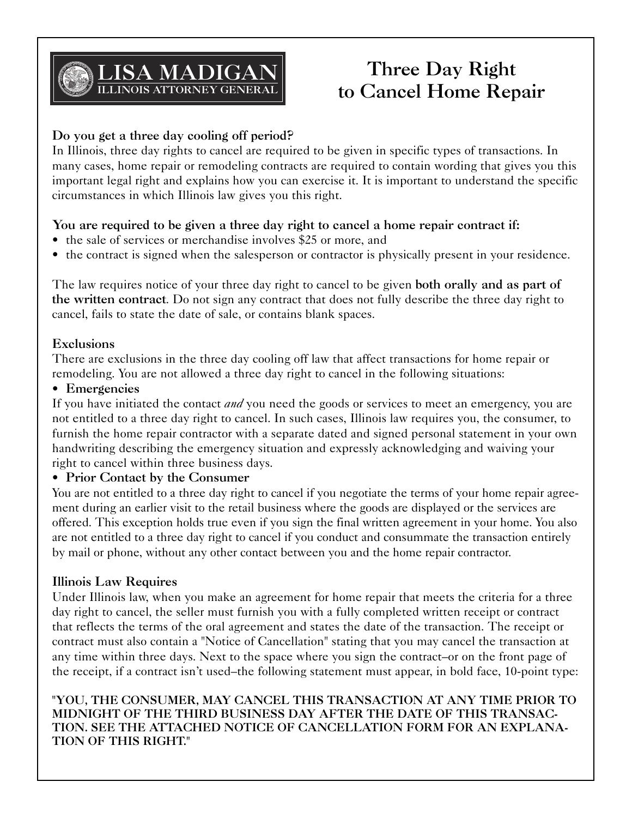

# **Three Day Right to Cancel Home Repair**

# **Do you get a three day cooling off period?**

In Illinois, three day rights to cancel are required to be given in specific types of transactions. In many cases, home repair or remodeling contracts are required to contain wording that gives you this important legal right and explains how you can exercise it. It is important to understand the specific circumstances in which Illinois law gives you this right.

# **You are required to be given a three day right to cancel a home repair contract if:**

- the sale of services or merchandise involves \$25 or more, and
- the contract is signed when the salesperson or contractor is physically present in your residence.

The law requires notice of your three day right to cancel to be given **both orally and as part of the written contract**. Do not sign any contract that does not fully describe the three day right to cancel, fails to state the date of sale, or contains blank spaces.

#### **Exclusions**

There are exclusions in the three day cooling off law that affect transactions for home repair or remodeling. You are not allowed a three day right to cancel in the following situations:

## • **Emergencies**

If you have initiated the contact *and* you need the goods or services to meet an emergency, you are not entitled to a three day right to cancel. In such cases, Illinois law requires you, the consumer, to furnish the home repair contractor with a separate dated and signed personal statement in your own handwriting describing the emergency situation and expressly acknowledging and waiving your right to cancel within three business days.

## • **Prior Contact by the Consumer**

You are not entitled to a three day right to cancel if you negotiate the terms of your home repair agreement during an earlier visit to the retail business where the goods are displayed or the services are offered. This exception holds true even if you sign the final written agreement in your home. You also are not entitled to a three day right to cancel if you conduct and consummate the transaction entirely by mail or phone, without any other contact between you and the home repair contractor.

## **Illinois Law Requires**

Under Illinois law, when you make an agreement for home repair that meets the criteria for a three day right to cancel, the seller must furnish you with a fully completed written receipt or contract that reflects the terms of the oral agreement and states the date of the transaction. The receipt or contract must also contain a "Notice of Cancellation" stating that you may cancel the transaction at any time within three days. Next to the space where you sign the contract–or on the front page of the receipt, if a contract isn't used–the following statement must appear, in bold face, 10-point type:

**"YOU, THE CONSUMER, MAY CANCEL THIS TRANSACTION AT ANY TIME PRIOR TO MIDNIGHT OF THE THIRD BUSINESS DAY AFTER THE DATE OF THIS TRANSAC-TION. SEE THE ATTACHED NOTICE OF CANCELLATION FORM FOR AN EXPLANA-TION OF THIS RIGHT."**